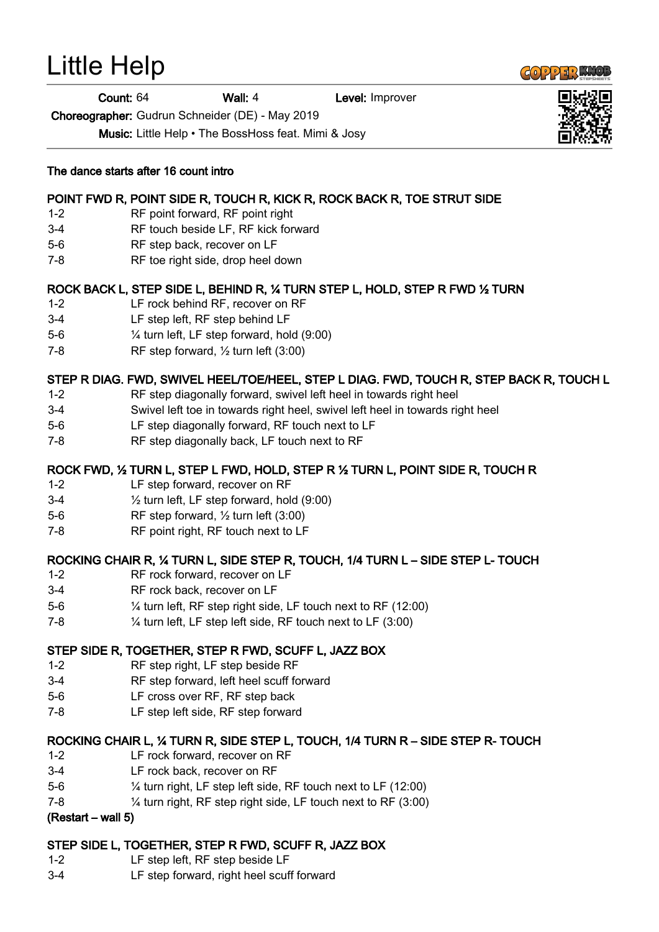# Little Help

Count: 64 Wall: 4 Level: Improver

Choreographer: Gudrun Schneider (DE) - May 2019

Music: Little Help • The BossHoss feat. Mimi & Josy

#### The dance starts after 16 count intro

# POINT FWD R, POINT SIDE R, TOUCH R, KICK R, ROCK BACK R, TOE STRUT SIDE

- 1-2 RF point forward, RF point right
- 3-4 RF touch beside LF, RF kick forward
- 5-6 RF step back, recover on LF
- 7-8 RF toe right side, drop heel down

# ROCK BACK L, STEP SIDE L, BEHIND R, ¼ TURN STEP L, HOLD, STEP R FWD ½ TURN

- 1-2 LF rock behind RF, recover on RF
- 3-4 LF step left, RF step behind LF
- 5-6 ¼ turn left, LF step forward, hold (9:00)
- 7-8 RF step forward,  $\frac{1}{2}$  turn left (3:00)

# STEP R DIAG. FWD, SWIVEL HEEL/TOE/HEEL, STEP L DIAG. FWD, TOUCH R, STEP BACK R, TOUCH L

- 1-2 RF step diagonally forward, swivel left heel in towards right heel
- 3-4 Swivel left toe in towards right heel, swivel left heel in towards right heel
- 5-6 LF step diagonally forward, RF touch next to LF
- 7-8 RF step diagonally back, LF touch next to RF

# ROCK FWD, ½ TURN L, STEP L FWD, HOLD, STEP R ½ TURN L, POINT SIDE R, TOUCH R

- 1-2 LF step forward, recover on RF
- 3-4 ½ turn left, LF step forward, hold (9:00)
- 5-6 RF step forward, ½ turn left (3:00)
- 7-8 RF point right, RF touch next to LF

## ROCKING CHAIR R, ¼ TURN L, SIDE STEP R, TOUCH, 1/4 TURN L – SIDE STEP L- TOUCH

- 1-2 RF rock forward, recover on LF
- 3-4 RF rock back, recover on LF
- 5-6 ¼ turn left, RF step right side, LF touch next to RF (12:00)
- 7-8 ¼ turn left, LF step left side, RF touch next to LF (3:00)

## STEP SIDE R, TOGETHER, STEP R FWD, SCUFF L, JAZZ BOX

- 1-2 RF step right, LF step beside RF
- 3-4 RF step forward, left heel scuff forward
- 5-6 LF cross over RF, RF step back
- 7-8 LF step left side, RF step forward

## ROCKING CHAIR L, ¼ TURN R, SIDE STEP L, TOUCH, 1/4 TURN R – SIDE STEP R- TOUCH

- 1-2 LF rock forward, recover on RF
- 3-4 LF rock back, recover on RF
- 5-6 ¼ turn right, LF step left side, RF touch next to LF (12:00)
- 7-8 ¼ turn right, RF step right side, LF touch next to RF (3:00)

#### (Restart – wall 5)

## STEP SIDE L, TOGETHER, STEP R FWD, SCUFF R, JAZZ BOX

- 1-2 LF step left, RF step beside LF
- 3-4 LF step forward, right heel scuff forward